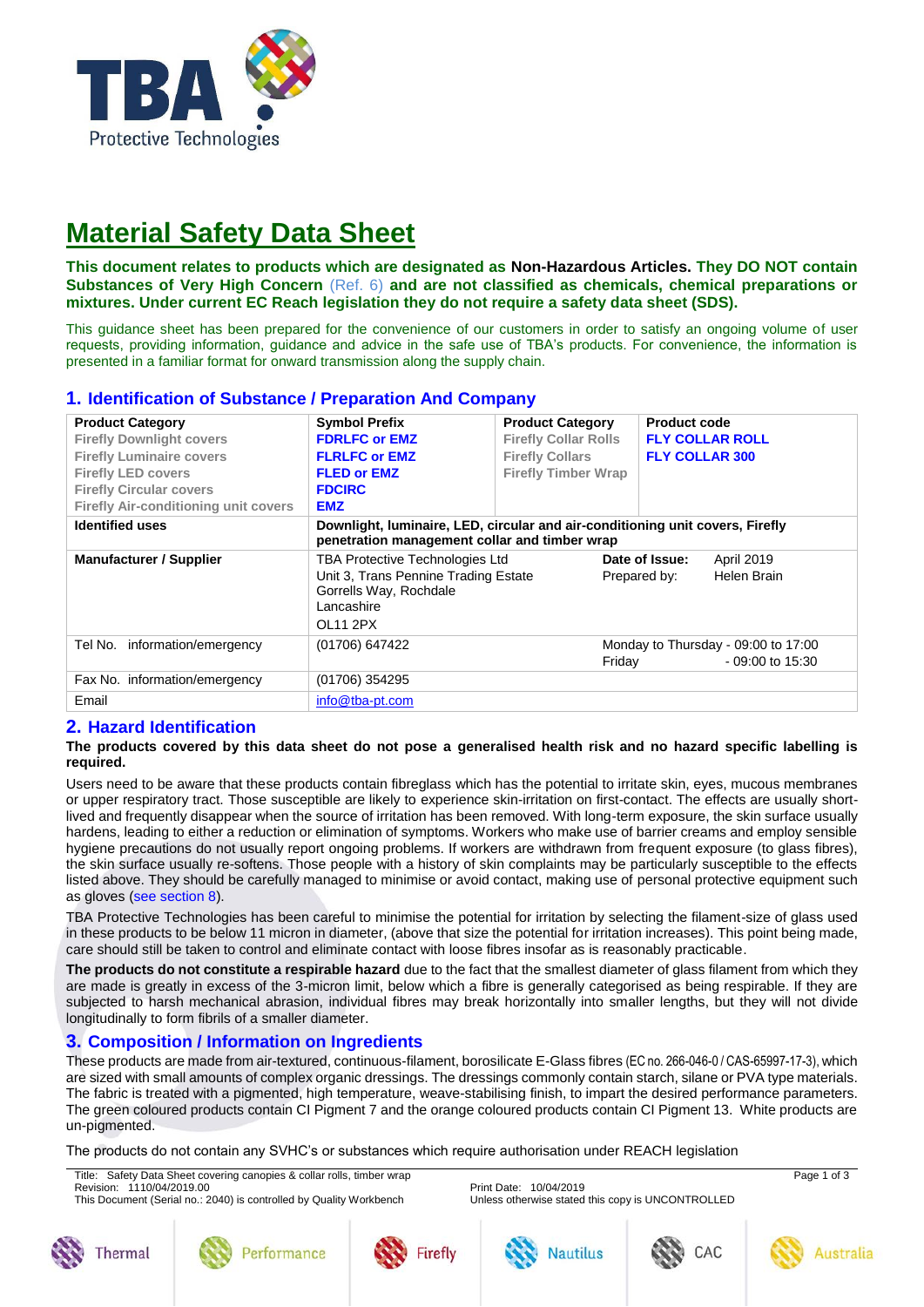

# **Material Safety Data Sheet**

**This document relates to products which are designated as Non-Hazardous Articles. They DO NOT contain Substances of Very High Concern** (Ref. 6) **and are not classified as chemicals, chemical preparations or mixtures. Under current EC Reach legislation they do not require a safety data sheet (SDS).**

This guidance sheet has been prepared for the convenience of our customers in order to satisfy an ongoing volume of user requests, providing information, guidance and advice in the safe use of TBA's products. For convenience, the information is presented in a familiar format for onward transmission along the supply chain.

| <b>Product Category</b><br><b>Firefly Downlight covers</b><br><b>Firefly Luminaire covers</b><br><b>Firefly LED covers</b><br><b>Firefly Circular covers</b><br><b>Firefly Air-conditioning unit covers</b> | <b>Symbol Prefix</b><br><b>FDRLFC or EMZ</b><br><b>FLRLFC or EMZ</b><br><b>FLED or EMZ</b><br><b>FDCIRC</b><br><b>EMZ</b>          | <b>Product Category</b><br><b>Firefly Collar Rolls</b><br><b>Firefly Collars</b><br><b>Firefly Timber Wrap</b> | <b>Product code</b><br><b>FLY COLLAR ROLL</b><br><b>FLY COLLAR 300</b> |
|-------------------------------------------------------------------------------------------------------------------------------------------------------------------------------------------------------------|------------------------------------------------------------------------------------------------------------------------------------|----------------------------------------------------------------------------------------------------------------|------------------------------------------------------------------------|
| <b>Identified uses</b>                                                                                                                                                                                      | Downlight, luminaire, LED, circular and air-conditioning unit covers, Firefly<br>penetration management collar and timber wrap     |                                                                                                                |                                                                        |
| <b>Manufacturer / Supplier</b>                                                                                                                                                                              | <b>TBA Protective Technologies Ltd</b><br>Unit 3, Trans Pennine Trading Estate<br>Gorrells Way, Rochdale<br>Lancashire<br>OL11 2PX |                                                                                                                | Date of Issue:<br>April 2019<br>Helen Brain<br>Prepared by:            |
| Tel No. information/emergency                                                                                                                                                                               | (01706) 647422                                                                                                                     | Friday                                                                                                         | Monday to Thursday - 09:00 to 17:00<br>$-09:00$ to 15:30               |
| Fax No. information/emergency                                                                                                                                                                               | (01706) 354295                                                                                                                     |                                                                                                                |                                                                        |
| Email                                                                                                                                                                                                       | info@tba-pt.com                                                                                                                    |                                                                                                                |                                                                        |

# **1. Identification of Substance / Preparation And Company**

# **2. Hazard Identification**

#### **The products covered by this data sheet do not pose a generalised health risk and no hazard specific labelling is required.**

Users need to be aware that these products contain fibreglass which has the potential to irritate skin, eyes, mucous membranes or upper respiratory tract. Those susceptible are likely to experience skin-irritation on first-contact. The effects are usually shortlived and frequently disappear when the source of irritation has been removed. With long-term exposure, the skin surface usually hardens, leading to either a reduction or elimination of symptoms. Workers who make use of barrier creams and employ sensible hygiene precautions do not usually report ongoing problems. If workers are withdrawn from frequent exposure (to glass fibres), the skin surface usually re-softens. Those people with a history of skin complaints may be particularly susceptible to the effects listed above. They should be carefully managed to minimise or avoid contact, making use of personal protective equipment such as gloves (see section 8).

TBA Protective Technologies has been careful to minimise the potential for irritation by selecting the filament-size of glass used in these products to be below 11 micron in diameter, (above that size the potential for irritation increases). This point being made, care should still be taken to control and eliminate contact with loose fibres insofar as is reasonably practicable.

**The products do not constitute a respirable hazard** due to the fact that the smallest diameter of glass filament from which they are made is greatly in excess of the 3-micron limit, below which a fibre is generally categorised as being respirable. If they are subjected to harsh mechanical abrasion, individual fibres may break horizontally into smaller lengths, but they will not divide longitudinally to form fibrils of a smaller diameter.

# **3. Composition / Information on Ingredients**

These products are made from air-textured, continuous-filament, borosilicate E-Glass fibres (EC no. 266-046-0 / CAS-65997-17-3), which are sized with small amounts of complex organic dressings. The dressings commonly contain starch, silane or PVA type materials. The fabric is treated with a pigmented, high temperature, weave-stabilising finish, to impart the desired performance parameters. The green coloured products contain CI Pigment 7 and the orange coloured products contain CI Pigment 13. White products are un-pigmented.

The products do not contain any SVHC's or substances which require authorisation under REACH legislation

Title: Safety Data Sheet covering canopies & collar rolls, timber wrap Page 1 of 3 Page 1 of 3 Revision: 1110/04/2019.00 Print Date: 10/04/2019

This Document (Serial no.: 2040) is controlled by Quality Workbench Unless otherwise stated this copy is UNCONTROLLED











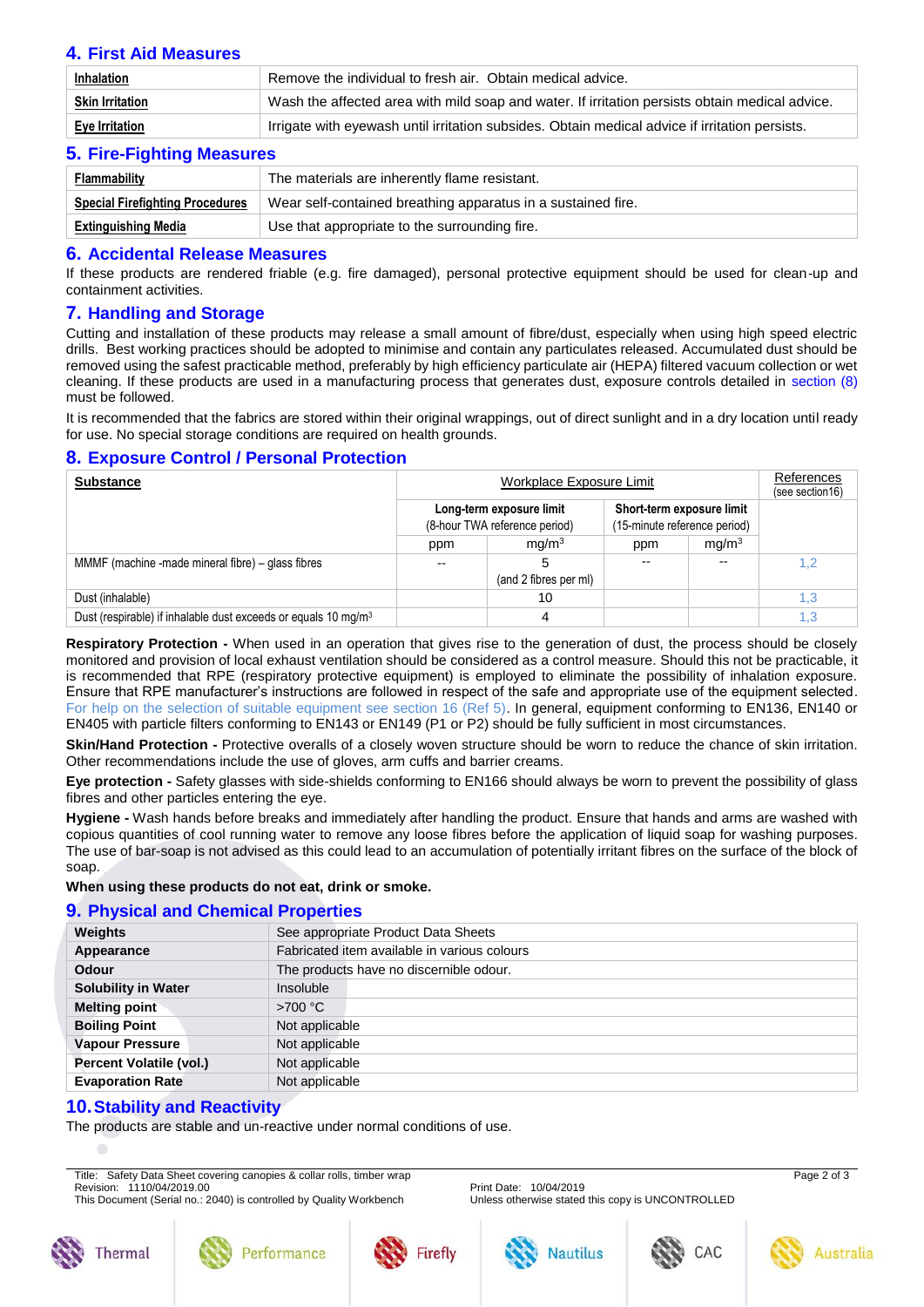# **4. First Aid Measures**

| <b>Inhalation</b>     | Remove the individual to fresh air. Obtain medical advice.                                     |  |
|-----------------------|------------------------------------------------------------------------------------------------|--|
| Skin Irritation       | Wash the affected area with mild soap and water. If irritation persists obtain medical advice. |  |
| <b>Eye Irritation</b> | Irrigate with eyewash until irritation subsides. Obtain medical advice if irritation persists. |  |

# **5. Fire-Fighting Measures**

| 9: 110: 119111119110000100             |                                                              |  |
|----------------------------------------|--------------------------------------------------------------|--|
| <b>Flammability</b>                    | The materials are inherently flame resistant.                |  |
| <b>Special Firefighting Procedures</b> | Wear self-contained breathing apparatus in a sustained fire. |  |
| Extinguishing Media                    | Use that appropriate to the surrounding fire.                |  |

#### **6. Accidental Release Measures**

If these products are rendered friable (e.g. fire damaged), personal protective equipment should be used for clean-up and containment activities.

## **7. Handling and Storage**

Cutting and installation of these products may release a small amount of fibre/dust, especially when using high speed electric drills. Best working practices should be adopted to minimise and contain any particulates released. Accumulated dust should be removed using the safest practicable method, preferably by high efficiency particulate air (HEPA) filtered vacuum collection or wet cleaning. If these products are used in a manufacturing process that generates dust, exposure controls detailed in section (8) must be followed.

It is recommended that the fabrics are stored within their original wrappings, out of direct sunlight and in a dry location until ready for use. No special storage conditions are required on health grounds.

# **8. Exposure Control / Personal Protection**

| <b>Substance</b>                                                           | Workplace Exposure Limit                                  |                       |                                                           | References<br>(see section 16) |     |
|----------------------------------------------------------------------------|-----------------------------------------------------------|-----------------------|-----------------------------------------------------------|--------------------------------|-----|
|                                                                            | Long-term exposure limit<br>(8-hour TWA reference period) |                       | Short-term exposure limit<br>(15-minute reference period) |                                |     |
|                                                                            | ppm                                                       | mq/m <sup>3</sup>     | ppm                                                       | mg/m <sup>3</sup>              |     |
| MMMF (machine -made mineral fibre) – glass fibres                          | --                                                        | (and 2 fibres per ml) | $-$                                                       |                                | 1,2 |
| Dust (inhalable)                                                           |                                                           | 10                    |                                                           |                                | 1,3 |
| Dust (respirable) if inhalable dust exceeds or equals 10 mg/m <sup>3</sup> |                                                           |                       |                                                           |                                | 1,3 |

**Respiratory Protection -** When used in an operation that gives rise to the generation of dust, the process should be closely monitored and provision of local exhaust ventilation should be considered as a control measure. Should this not be practicable, it is recommended that RPE (respiratory protective equipment) is employed to eliminate the possibility of inhalation exposure. Ensure that RPE manufacturer's instructions are followed in respect of the safe and appropriate use of the equipment selected. For help on the selection of suitable equipment see section 16 (Ref 5). In general, equipment conforming to EN136, EN140 or EN405 with particle filters conforming to EN143 or EN149 (P1 or P2) should be fully sufficient in most circumstances.

**Skin/Hand Protection -** Protective overalls of a closely woven structure should be worn to reduce the chance of skin irritation. Other recommendations include the use of gloves, arm cuffs and barrier creams.

**Eye protection -** Safety glasses with side-shields conforming to EN166 should always be worn to prevent the possibility of glass fibres and other particles entering the eye.

**Hygiene -** Wash hands before breaks and immediately after handling the product. Ensure that hands and arms are washed with copious quantities of cool running water to remove any loose fibres before the application of liquid soap for washing purposes. The use of bar-soap is not advised as this could lead to an accumulation of potentially irritant fibres on the surface of the block of soap

#### **When using these products do not eat, drink or smoke.**

#### **9. Physical and Chemical Properties**

| Weights                    | See appropriate Product Data Sheets          |  |
|----------------------------|----------------------------------------------|--|
| Appearance                 | Fabricated item available in various colours |  |
| <b>Odour</b>               | The products have no discernible odour.      |  |
| <b>Solubility in Water</b> | Insoluble                                    |  |
| <b>Melting point</b>       | $>700^{\circ}$ C                             |  |
| <b>Boiling Point</b>       | Not applicable                               |  |
| <b>Vapour Pressure</b>     | Not applicable                               |  |
| Percent Volatile (vol.)    | Not applicable                               |  |
| <b>Evaporation Rate</b>    | Not applicable                               |  |
|                            |                                              |  |

#### **10.Stability and Reactivity**

The products are stable and un-reactive under normal conditions of use.

Title: Safety Data Sheet covering canopies & collar rolls, timber wrap Page 2 of 3 Revision: 1110/04/2019.00 Print Date: 10/04/2019

This Document (Serial no.: 2040) is controlled by Quality Workbench Unless otherwise stated this copy is UNCONTROLLED